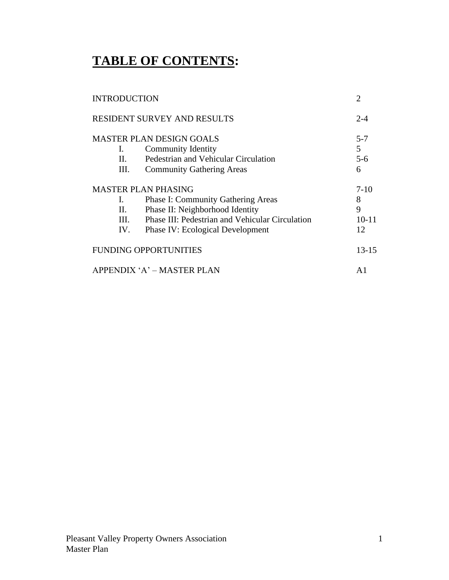# **TABLE OF CONTENTS:**

| <b>INTRODUCTION</b>                | $\overline{2}$                                  |           |
|------------------------------------|-------------------------------------------------|-----------|
| <b>RESIDENT SURVEY AND RESULTS</b> | $2 - 4$                                         |           |
|                                    | <b>MASTER PLAN DESIGN GOALS</b>                 | $5 - 7$   |
| Ι.                                 | <b>Community Identity</b>                       | 5         |
| П.                                 | Pedestrian and Vehicular Circulation            | $5 - 6$   |
| Ш.                                 | <b>Community Gathering Areas</b>                | 6         |
| <b>MASTER PLAN PHASING</b>         | $7-10$                                          |           |
| L.                                 | <b>Phase I: Community Gathering Areas</b>       | 8         |
| П.                                 | Phase II: Neighborhood Identity                 | 9         |
| III.                               | Phase III: Pedestrian and Vehicular Circulation | $10 - 11$ |
| IV.                                | <b>Phase IV: Ecological Development</b>         | 12        |
|                                    | <b>FUNDING OPPORTUNITIES</b>                    | $13 - 15$ |
|                                    | APPENDIX 'A' - MASTER PLAN                      | A1        |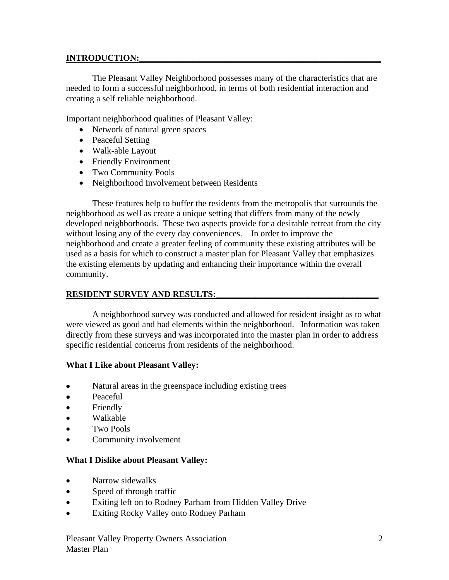### **INTRODUCTION:**

The Pleasant Valley Neighborhood possesses many of the characteristics that are needed to form a successful neighborhood, in terms of both residential interaction and creating a self reliable neighborhood.

Important neighborhood qualities of Pleasant Valley:

- Network of natural green spaces
- Peaceful Setting
- Walk-able Layout
- Friendly Environment
- Two Community Pools
- Neighborhood Involvement between Residents

These features help to buffer the residents from the metropolis that surrounds the neighborhood as well as create a unique setting that differs from many of the newly developed neighborhoods. These two aspects provide for a desirable retreat from the city without losing any of the every day conveniences. In order to improve the neighborhood and create a greater feeling of community these existing attributes will be used as a basis for which to construct a master plan for Pleasant Valley that emphasizes the existing elements by updating and enhancing their importance within the overall community.

## **RESIDENT SURVEY AND RESULTS:**

A neighborhood survey was conducted and allowed for resident insight as to what were viewed as good and bad elements within the neighborhood. Information was taken directly from these surveys and was incorporated into the master plan in order to address specific residential concerns from residents of the neighborhood.

### **What I Like about Pleasant Valley:**

- Natural areas in the greenspace including existing trees
- Peaceful
- Friendly
- Walkable
- Two Pools
- Community involvement

### **What I Dislike about Pleasant Valley:**

- Narrow sidewalks
- Speed of through traffic
- Exiting left on to Rodney Parham from Hidden Valley Drive
- Exiting Rocky Valley onto Rodney Parham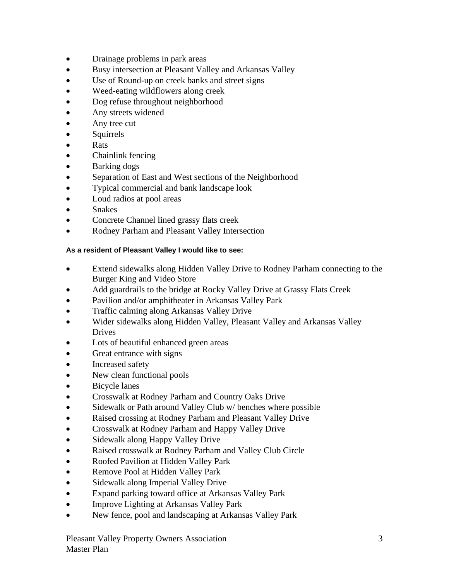- Drainage problems in park areas
- Busy intersection at Pleasant Valley and Arkansas Valley
- Use of Round-up on creek banks and street signs
- Weed-eating wildflowers along creek
- Dog refuse throughout neighborhood
- Any streets widened
- Any tree cut
- **Squirrels**
- Rats
- Chainlink fencing
- Barking dogs
- Separation of East and West sections of the Neighborhood
- Typical commercial and bank landscape look
- Loud radios at pool areas
- **Snakes**
- Concrete Channel lined grassy flats creek
- Rodney Parham and Pleasant Valley Intersection

#### **As a resident of Pleasant Valley I would like to see:**

- Extend sidewalks along Hidden Valley Drive to Rodney Parham connecting to the Burger King and Video Store
- Add guardrails to the bridge at Rocky Valley Drive at Grassy Flats Creek
- Pavilion and/or amphitheater in Arkansas Valley Park
- Traffic calming along Arkansas Valley Drive
- Wider sidewalks along Hidden Valley, Pleasant Valley and Arkansas Valley Drives
- Lots of beautiful enhanced green areas
- Great entrance with signs
- Increased safety
- New clean functional pools
- Bicycle lanes
- Crosswalk at Rodney Parham and Country Oaks Drive
- Sidewalk or Path around Valley Club w/ benches where possible
- Raised crossing at Rodney Parham and Pleasant Valley Drive
- Crosswalk at Rodney Parham and Happy Valley Drive
- Sidewalk along Happy Valley Drive
- Raised crosswalk at Rodney Parham and Valley Club Circle
- Roofed Pavilion at Hidden Valley Park
- Remove Pool at Hidden Valley Park
- Sidewalk along Imperial Valley Drive
- Expand parking toward office at Arkansas Valley Park
- Improve Lighting at Arkansas Valley Park
- New fence, pool and landscaping at Arkansas Valley Park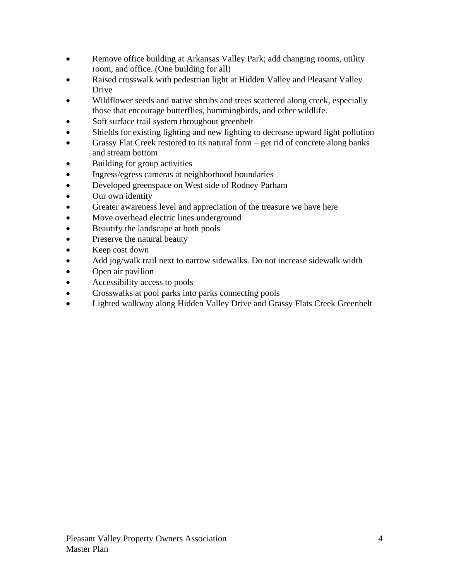- Remove office building at Arkansas Valley Park; add changing rooms, utility room, and office. (One building for all)
- Raised crosswalk with pedestrian light at Hidden Valley and Pleasant Valley Drive
- Wildflower seeds and native shrubs and trees scattered along creek, especially those that encourage butterflies, hummingbirds, and other wildlife.
- Soft surface trail system throughout greenbelt
- Shields for existing lighting and new lighting to decrease upward light pollution
- Grassy Flat Creek restored to its natural form  $-$  get rid of concrete along banks and stream bottom
- Building for group activities
- Ingress/egress cameras at neighborhood boundaries
- Developed greenspace on West side of Rodney Parham
- Our own identity
- Greater awareness level and appreciation of the treasure we have here
- Move overhead electric lines underground
- Beautify the landscape at both pools
- Preserve the natural beauty
- Keep cost down
- Add jog/walk trail next to narrow sidewalks. Do not increase sidewalk width
- Open air pavilion
- Accessibility access to pools
- Crosswalks at pool parks into parks connecting pools
- Lighted walkway along Hidden Valley Drive and Grassy Flats Creek Greenbelt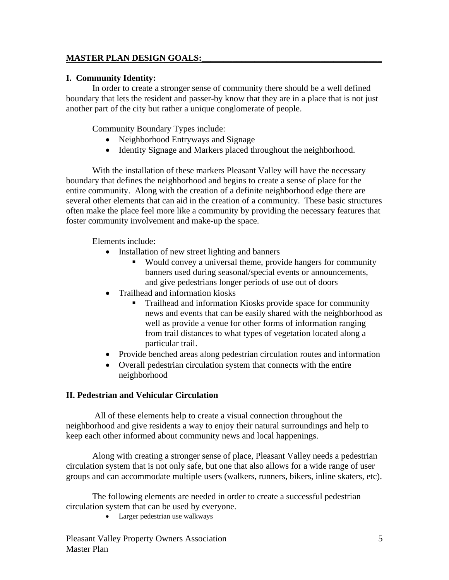## **MASTER PLAN DESIGN GOALS:\_\_\_\_\_\_\_\_\_\_\_\_\_\_\_\_\_\_\_\_\_\_\_\_\_\_\_\_\_\_\_\_\_\_\_\_\_\_\_\_\_**

#### **I. Community Identity:**

In order to create a stronger sense of community there should be a well defined boundary that lets the resident and passer-by know that they are in a place that is not just another part of the city but rather a unique conglomerate of people.

Community Boundary Types include:

- Neighborhood Entryways and Signage
- Identity Signage and Markers placed throughout the neighborhood.

With the installation of these markers Pleasant Valley will have the necessary boundary that defines the neighborhood and begins to create a sense of place for the entire community. Along with the creation of a definite neighborhood edge there are several other elements that can aid in the creation of a community. These basic structures often make the place feel more like a community by providing the necessary features that foster community involvement and make-up the space.

Elements include:

- Installation of new street lighting and banners
	- Would convey a universal theme, provide hangers for community banners used during seasonal/special events or announcements, and give pedestrians longer periods of use out of doors
- Trailhead and information kiosks
	- Trailhead and information Kiosks provide space for community news and events that can be easily shared with the neighborhood as well as provide a venue for other forms of information ranging from trail distances to what types of vegetation located along a particular trail.
- Provide benched areas along pedestrian circulation routes and information
- Overall pedestrian circulation system that connects with the entire neighborhood

### **II. Pedestrian and Vehicular Circulation**

All of these elements help to create a visual connection throughout the neighborhood and give residents a way to enjoy their natural surroundings and help to keep each other informed about community news and local happenings.

Along with creating a stronger sense of place, Pleasant Valley needs a pedestrian circulation system that is not only safe, but one that also allows for a wide range of user groups and can accommodate multiple users (walkers, runners, bikers, inline skaters, etc).

The following elements are needed in order to create a successful pedestrian circulation system that can be used by everyone.

• Larger pedestrian use walkways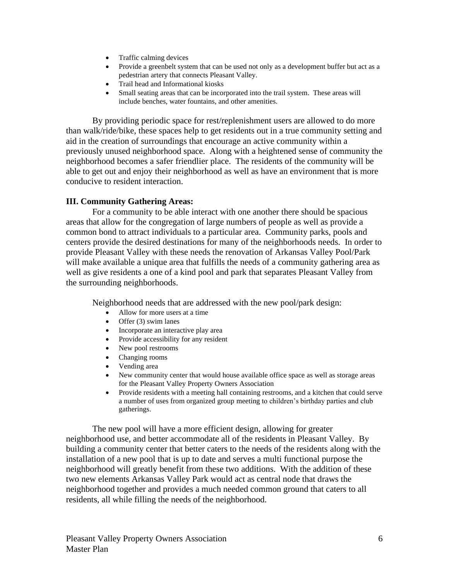- Traffic calming devices
- Provide a greenbelt system that can be used not only as a development buffer but act as a pedestrian artery that connects Pleasant Valley.
- Trail head and Informational kiosks
- Small seating areas that can be incorporated into the trail system. These areas will include benches, water fountains, and other amenities.

By providing periodic space for rest/replenishment users are allowed to do more than walk/ride/bike, these spaces help to get residents out in a true community setting and aid in the creation of surroundings that encourage an active community within a previously unused neighborhood space. Along with a heightened sense of community the neighborhood becomes a safer friendlier place. The residents of the community will be able to get out and enjoy their neighborhood as well as have an environment that is more conducive to resident interaction.

#### **III. Community Gathering Areas:**

For a community to be able interact with one another there should be spacious areas that allow for the congregation of large numbers of people as well as provide a common bond to attract individuals to a particular area. Community parks, pools and centers provide the desired destinations for many of the neighborhoods needs. In order to provide Pleasant Valley with these needs the renovation of Arkansas Valley Pool/Park will make available a unique area that fulfills the needs of a community gathering area as well as give residents a one of a kind pool and park that separates Pleasant Valley from the surrounding neighborhoods.

Neighborhood needs that are addressed with the new pool/park design:

- Allow for more users at a time
- Offer  $(3)$  swim lanes
- Incorporate an interactive play area
- Provide accessibility for any resident
- New pool restrooms
- Changing rooms
- Vending area
- New community center that would house available office space as well as storage areas for the Pleasant Valley Property Owners Association
- Provide residents with a meeting hall containing restrooms, and a kitchen that could serve a number of uses from organized group meeting to children's birthday parties and club gatherings.

The new pool will have a more efficient design, allowing for greater neighborhood use, and better accommodate all of the residents in Pleasant Valley. By building a community center that better caters to the needs of the residents along with the installation of a new pool that is up to date and serves a multi functional purpose the neighborhood will greatly benefit from these two additions. With the addition of these two new elements Arkansas Valley Park would act as central node that draws the neighborhood together and provides a much needed common ground that caters to all residents, all while filling the needs of the neighborhood.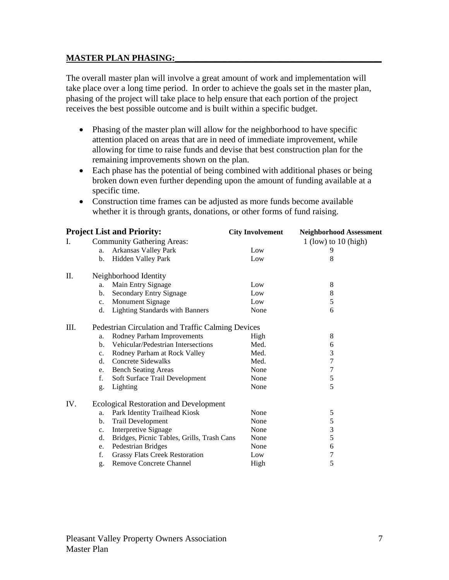### **MASTER PLAN PHASING:**

The overall master plan will involve a great amount of work and implementation will take place over a long time period. In order to achieve the goals set in the master plan, phasing of the project will take place to help ensure that each portion of the project receives the best possible outcome and is built within a specific budget.

- Phasing of the master plan will allow for the neighborhood to have specific attention placed on areas that are in need of immediate improvement, while allowing for time to raise funds and devise that best construction plan for the remaining improvements shown on the plan.
- Each phase has the potential of being combined with additional phases or being broken down even further depending upon the amount of funding available at a specific time.
- Construction time frames can be adjusted as more funds become available whether it is through grants, donations, or other forms of fund raising.

| <b>Project List and Priority:</b> |                                                    | <b>City Involvement</b> | <b>Neighborhood Assessment</b> |  |  |
|-----------------------------------|----------------------------------------------------|-------------------------|--------------------------------|--|--|
| L.                                | <b>Community Gathering Areas:</b>                  |                         | $1$ (low) to $10$ (high)       |  |  |
|                                   | Arkansas Valley Park<br>a.                         | Low                     | 9                              |  |  |
|                                   | Hidden Valley Park<br>b.                           | Low                     | 8                              |  |  |
| Π.                                | Neighborhood Identity                              |                         |                                |  |  |
|                                   | Main Entry Signage<br>a.                           | Low                     | 8                              |  |  |
|                                   | Secondary Entry Signage<br>b.                      | Low                     | 8                              |  |  |
|                                   | Monument Signage<br>$c_{\cdot}$                    | Low                     | 5                              |  |  |
|                                   | <b>Lighting Standards with Banners</b><br>d.       | None                    | 6                              |  |  |
| III.                              | Pedestrian Circulation and Traffic Calming Devices |                         |                                |  |  |
|                                   | Rodney Parham Improvements<br>a.                   | High                    | 8                              |  |  |
|                                   | Vehicular/Pedestrian Intersections<br>b.           | Med.                    | 6                              |  |  |
|                                   | Rodney Parham at Rock Valley<br>$c_{\cdot}$        | Med.                    | $\mathfrak{Z}$                 |  |  |
|                                   | <b>Concrete Sidewalks</b><br>d.                    | Med.                    | $\boldsymbol{7}$               |  |  |
|                                   | <b>Bench Seating Areas</b><br>e.                   | None                    | $\overline{7}$                 |  |  |
|                                   | f.<br>Soft Surface Trail Development               | None                    | $\sqrt{5}$                     |  |  |
|                                   | Lighting<br>g.                                     | None                    | 5                              |  |  |
| IV.                               | <b>Ecological Restoration and Development</b>      |                         |                                |  |  |
|                                   | Park Identity Trailhead Kiosk<br>a.                | None                    | 5                              |  |  |
|                                   | <b>Trail Development</b><br>b.                     | None                    | $\sqrt{5}$                     |  |  |
|                                   | Interpretive Signage<br>c.                         | None                    | 3                              |  |  |
|                                   | d.<br>Bridges, Picnic Tables, Grills, Trash Cans   | None                    | 5                              |  |  |
|                                   | Pedestrian Bridges<br>e.                           | None                    | 6                              |  |  |
|                                   | f.<br><b>Grassy Flats Creek Restoration</b>        | Low                     | 7                              |  |  |
|                                   | <b>Remove Concrete Channel</b><br>g.               | High                    | 5                              |  |  |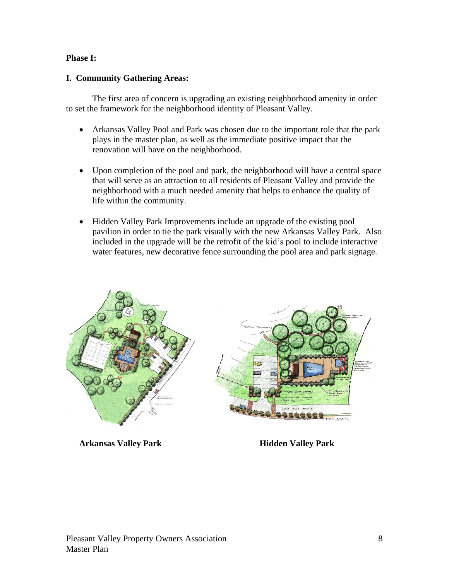#### **Phase I:**

#### **I. Community Gathering Areas:**

The first area of concern is upgrading an existing neighborhood amenity in order to set the framework for the neighborhood identity of Pleasant Valley.

- Arkansas Valley Pool and Park was chosen due to the important role that the park plays in the master plan, as well as the immediate positive impact that the renovation will have on the neighborhood.
- Upon completion of the pool and park, the neighborhood will have a central space that will serve as an attraction to all residents of Pleasant Valley and provide the neighborhood with a much needed amenity that helps to enhance the quality of life within the community.
- Hidden Valley Park Improvements include an upgrade of the existing pool pavilion in order to tie the park visually with the new Arkansas Valley Park. Also included in the upgrade will be the retrofit of the kid's pool to include interactive water features, new decorative fence surrounding the pool area and park signage.



### **Arkansas Valley Park Hidden Valley Park**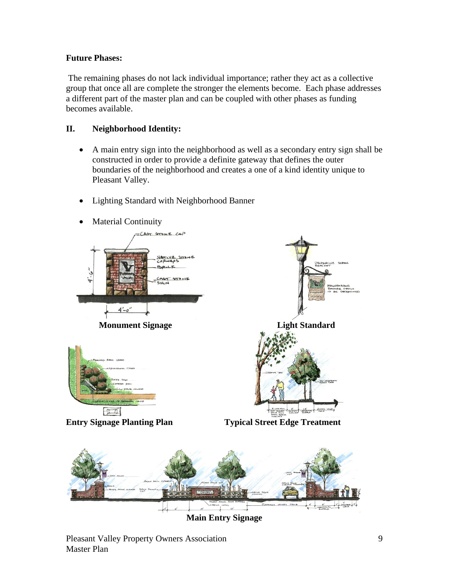# **Future Phases:**

The remaining phases do not lack individual importance; rather they act as a collective group that once all are complete the stronger the elements become. Each phase addresses a different part of the master plan and can be coupled with other phases as funding becomes available.

# **II. Neighborhood Identity:**

- A main entry sign into the neighborhood as well as a secondary entry sign shall be constructed in order to provide a definite gateway that defines the outer boundaries of the neighborhood and creates a one of a kind identity unique to Pleasant Valley.
- Lighting Standard with Neighborhood Banner
- Material Continuity



**Main Entry Signage**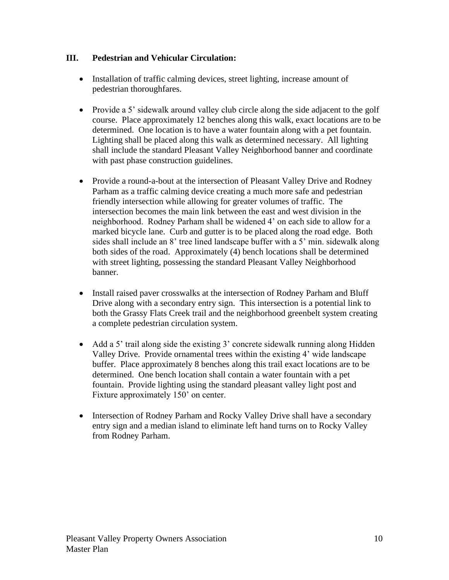# **III. Pedestrian and Vehicular Circulation:**

- Installation of traffic calming devices, street lighting, increase amount of pedestrian thoroughfares.
- Provide a 5' sidewalk around valley club circle along the side adjacent to the golf course. Place approximately 12 benches along this walk, exact locations are to be determined. One location is to have a water fountain along with a pet fountain. Lighting shall be placed along this walk as determined necessary. All lighting shall include the standard Pleasant Valley Neighborhood banner and coordinate with past phase construction guidelines.
- Provide a round-a-bout at the intersection of Pleasant Valley Drive and Rodney Parham as a traffic calming device creating a much more safe and pedestrian friendly intersection while allowing for greater volumes of traffic. The intersection becomes the main link between the east and west division in the neighborhood. Rodney Parham shall be widened 4' on each side to allow for a marked bicycle lane. Curb and gutter is to be placed along the road edge. Both sides shall include an 8' tree lined landscape buffer with a 5' min. sidewalk along both sides of the road. Approximately (4) bench locations shall be determined with street lighting, possessing the standard Pleasant Valley Neighborhood banner.
- Install raised paver crosswalks at the intersection of Rodney Parham and Bluff Drive along with a secondary entry sign. This intersection is a potential link to both the Grassy Flats Creek trail and the neighborhood greenbelt system creating a complete pedestrian circulation system.
- Add a 5' trail along side the existing 3' concrete sidewalk running along Hidden Valley Drive. Provide ornamental trees within the existing 4' wide landscape buffer. Place approximately 8 benches along this trail exact locations are to be determined. One bench location shall contain a water fountain with a pet fountain. Provide lighting using the standard pleasant valley light post and Fixture approximately 150' on center.
- Intersection of Rodney Parham and Rocky Valley Drive shall have a secondary entry sign and a median island to eliminate left hand turns on to Rocky Valley from Rodney Parham.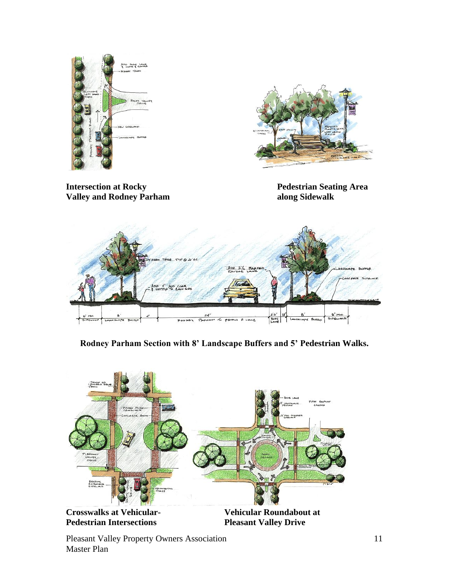



**Intersection at Rocky Pedestrian Seating Area Valley and Rodney Parham along Sidewalk**



**Rodney Parham Section with 8' Landscape Buffers and 5' Pedestrian Walks.**



**Pleasant Valley Drive** 

Pleasant Valley Property Owners Association Master Plan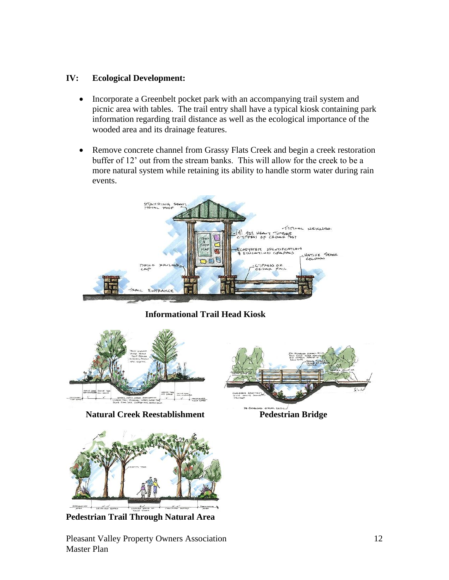# **IV: Ecological Development:**

- Incorporate a Greenbelt pocket park with an accompanying trail system and picnic area with tables. The trail entry shall have a typical kiosk containing park information regarding trail distance as well as the ecological importance of the wooded area and its drainage features.
- Remove concrete channel from Grassy Flats Creek and begin a creek restoration buffer of 12' out from the stream banks. This will allow for the creek to be a more natural system while retaining its ability to handle storm water during rain events.



**Informational Trail Head Kiosk**



**Natural Creek Reestablishment** Pedestrian Bridge





**Pedestrian Trail Through Natural Area**

Pleasant Valley Property Owners Association Master Plan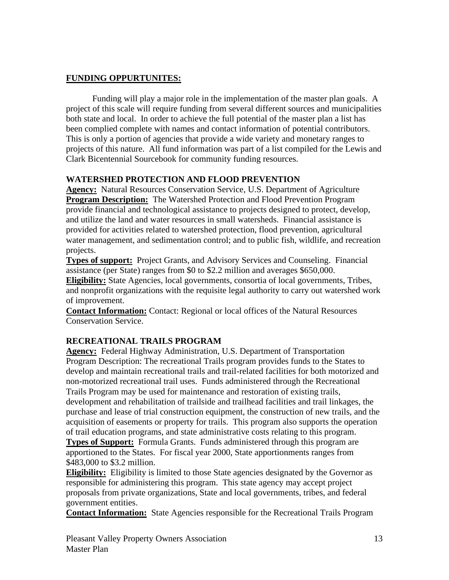## **FUNDING OPPURTUNITES:**

Funding will play a major role in the implementation of the master plan goals. A project of this scale will require funding from several different sources and municipalities both state and local. In order to achieve the full potential of the master plan a list has been complied complete with names and contact information of potential contributors. This is only a portion of agencies that provide a wide variety and monetary ranges to projects of this nature. All fund information was part of a list compiled for the Lewis and Clark Bicentennial Sourcebook for community funding resources.

# **WATERSHED PROTECTION AND FLOOD PREVENTION**

**Agency:** Natural Resources Conservation Service, U.S. Department of Agriculture **Program Description:** The Watershed Protection and Flood Prevention Program provide financial and technological assistance to projects designed to protect, develop, and utilize the land and water resources in small watersheds. Financial assistance is provided for activities related to watershed protection, flood prevention, agricultural water management, and sedimentation control; and to public fish, wildlife, and recreation projects.

**Types of support:** Project Grants, and Advisory Services and Counseling. Financial assistance (per State) ranges from \$0 to \$2.2 million and averages \$650,000.

**Eligibility:** State Agencies, local governments, consortia of local governments, Tribes, and nonprofit organizations with the requisite legal authority to carry out watershed work of improvement.

**Contact Information:** Contact: Regional or local offices of the Natural Resources Conservation Service.

### **RECREATIONAL TRAILS PROGRAM**

**Agency:** Federal Highway Administration, U.S. Department of Transportation Program Description: The recreational Trails program provides funds to the States to develop and maintain recreational trails and trail-related facilities for both motorized and non-motorized recreational trail uses. Funds administered through the Recreational Trails Program may be used for maintenance and restoration of existing trails, development and rehabilitation of trailside and trailhead facilities and trail linkages, the purchase and lease of trial construction equipment, the construction of new trails, and the acquisition of easements or property for trails. This program also supports the operation of trail education programs, and state administrative costs relating to this program. **Types of Support:** Formula Grants. Funds administered through this program are apportioned to the States. For fiscal year 2000, State apportionments ranges from

\$483,000 to \$3.2 million.

**Eligibility:** Eligibility is limited to those State agencies designated by the Governor as responsible for administering this program. This state agency may accept project proposals from private organizations, State and local governments, tribes, and federal government entities.

**Contact Information:** State Agencies responsible for the Recreational Trails Program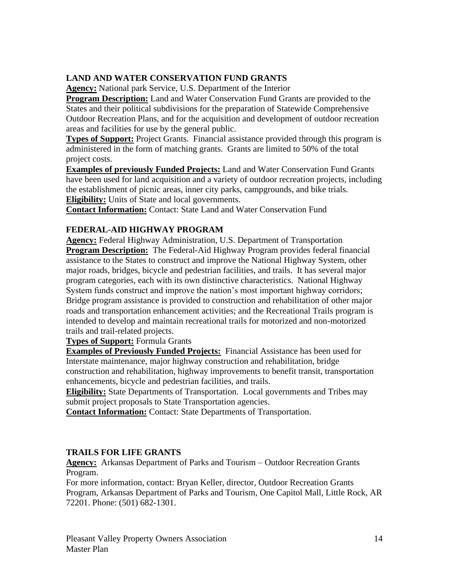# **LAND AND WATER CONSERVATION FUND GRANTS**

**Agency:** National park Service, U.S. Department of the Interior

**Program Description:** Land and Water Conservation Fund Grants are provided to the States and their political subdivisions for the preparation of Statewide Comprehensive Outdoor Recreation Plans, and for the acquisition and development of outdoor recreation areas and facilities for use by the general public.

**Types of Support:** Project Grants. Financial assistance provided through this program is administered in the form of matching grants. Grants are limited to 50% of the total project costs.

**Examples of previously Funded Projects:** Land and Water Conservation Fund Grants have been used for land acquisition and a variety of outdoor recreation projects, including the establishment of picnic areas, inner city parks, campgrounds, and bike trials. **Eligibility:** Units of State and local governments.

**Contact Information:** Contact: State Land and Water Conservation Fund

# **FEDERAL-AID HIGHWAY PROGRAM**

**Agency:** Federal Highway Administration, U.S. Department of Transportation **Program Description:** The Federal-Aid Highway Program provides federal financial assistance to the States to construct and improve the National Highway System, other major roads, bridges, bicycle and pedestrian facilities, and trails. It has several major program categories, each with its own distinctive characteristics. National Highway System funds construct and improve the nation's most important highway corridors; Bridge program assistance is provided to construction and rehabilitation of other major roads and transportation enhancement activities; and the Recreational Trails program is intended to develop and maintain recreational trails for motorized and non-motorized trails and trail-related projects.

**Types of Support:** Formula Grants

**Examples of Previously Funded Projects:** Financial Assistance has been used for Interstate maintenance, major highway construction and rehabilitation, bridge construction and rehabilitation, highway improvements to benefit transit, transportation enhancements, bicycle and pedestrian facilities, and trails.

**Eligibility:** State Departments of Transportation. Local governments and Tribes may submit project proposals to State Transportation agencies.

**Contact Information:** Contact: State Departments of Transportation.

### **TRAILS FOR LIFE GRANTS**

**Agency:** Arkansas Department of Parks and Tourism – Outdoor Recreation Grants Program.

For more information, contact: Bryan Keller, director, Outdoor Recreation Grants Program, Arkansas Department of Parks and Tourism, One Capitol Mall, Little Rock, AR 72201. Phone: (501) 682-1301.